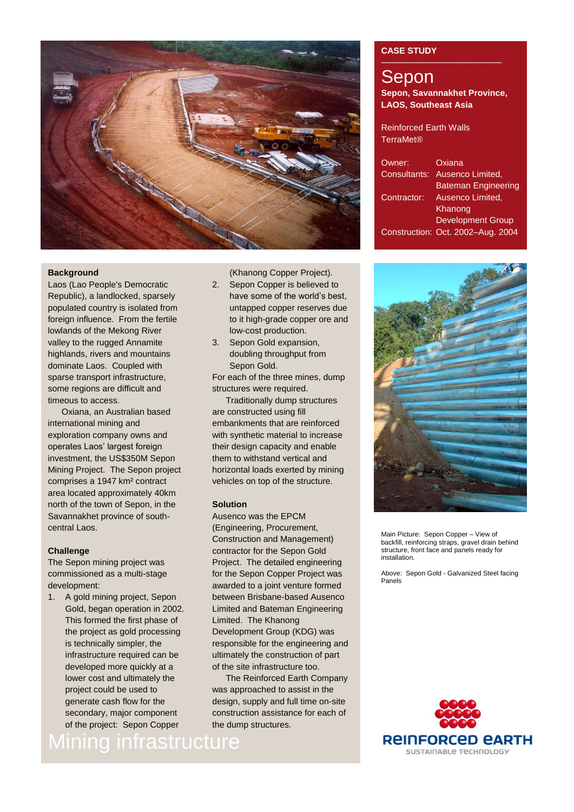

## **Background**

Laos (Lao People's Democratic Republic), a landlocked, sparsely populated country is isolated from foreign influence. From the fertile lowlands of the Mekong River valley to the rugged Annamite highlands, rivers and mountains dominate Laos. Coupled with sparse transport infrastructure, some regions are difficult and timeous to access.

Oxiana, an Australian based international mining and exploration company owns and operates Laos' largest foreign investment, the US\$350M Sepon Mining Project. The Sepon project comprises a 1947 km² contract area located approximately 40km north of the town of Sepon, in the Savannakhet province of southcentral Laos.

# **Challenge**

The Sepon mining project was commissioned as a multi-stage development:

1. A gold mining project, Sepon Gold, began operation in 2002. This formed the first phase of the project as gold processing is technically simpler, the infrastructure required can be developed more quickly at a lower cost and ultimately the project could be used to generate cash flow for the secondary, major component of the project: Sepon Copper

Mining infrastructure

(Khanong Copper Project).

- 2. Sepon Copper is believed to have some of the world's best, untapped copper reserves due to it high-grade copper ore and low-cost production.
- 3. Sepon Gold expansion, doubling throughput from Sepon Gold.

For each of the three mines, dump structures were required.

Traditionally dump structures are constructed using fill embankments that are reinforced with synthetic material to increase their design capacity and enable them to withstand vertical and horizontal loads exerted by mining vehicles on top of the structure.

## **Solution**

Ausenco was the EPCM (Engineering, Procurement, Construction and Management) contractor for the Sepon Gold Project. The detailed engineering for the Sepon Copper Project was awarded to a joint venture formed between Brisbane-based Ausenco Limited and Bateman Engineering Limited. The Khanong Development Group (KDG) was responsible for the engineering and ultimately the construction of part of the site infrastructure too.

The Reinforced Earth Company was approached to assist in the design, supply and full time on-site construction assistance for each of the dump structures.

# **CASE STUDY**

# Sepon **Sepon, Savannakhet Province, LAOS, Southeast Asia**

Reinforced Earth Walls TerraMet®

| Owner:       | Oxiana                            |
|--------------|-----------------------------------|
| Consultants: | Ausenco Limited,                  |
|              | <b>Bateman Engineering</b>        |
| Contractor:  | Ausenco Limited,                  |
|              | Khanong                           |
|              | <b>Development Group</b>          |
|              | Construction: Oct. 2002-Aug. 2004 |



Main Picture: Sepon Copper – View of backfill, reinforcing straps, gravel drain behind structure, front face and panels ready for installation.

Above: Sepon Gold - Galvanized Steel facing Panels